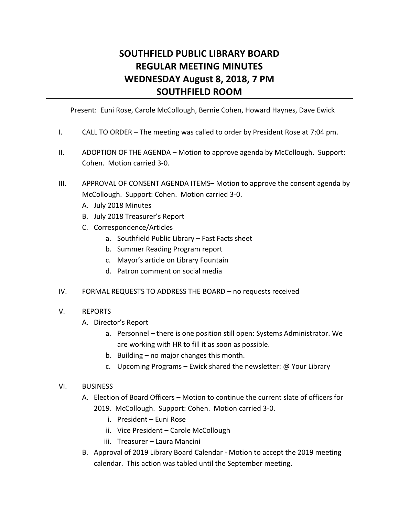## **SOUTHFIELD PUBLIC LIBRARY BOARD REGULAR MEETING MINUTES WEDNESDAY August 8, 2018, 7 PM SOUTHFIELD ROOM**

Present: Euni Rose, Carole McCollough, Bernie Cohen, Howard Haynes, Dave Ewick

- I. CALL TO ORDER The meeting was called to order by President Rose at 7:04 pm.
- II. ADOPTION OF THE AGENDA Motion to approve agenda by McCollough. Support: Cohen. Motion carried 3-0.
- III. APPROVAL OF CONSENT AGENDA ITEMS– Motion to approve the consent agenda by McCollough. Support: Cohen. Motion carried 3-0.
	- A. July 2018 Minutes
	- B. July 2018 Treasurer's Report
	- C. Correspondence/Articles
		- a. Southfield Public Library Fast Facts sheet
		- b. Summer Reading Program report
		- c. Mayor's article on Library Fountain
		- d. Patron comment on social media
- IV. FORMAL REQUESTS TO ADDRESS THE BOARD no requests received

## V. REPORTS

- A. Director's Report
	- a. Personnel there is one position still open: Systems Administrator. We are working with HR to fill it as soon as possible.
	- b. Building no major changes this month.
	- c. Upcoming Programs Ewick shared the newsletter: @ Your Library

## VI. BUSINESS

- A. Election of Board Officers Motion to continue the current slate of officers for 2019. McCollough. Support: Cohen. Motion carried 3-0.
	- i. President Euni Rose
	- ii. Vice President Carole McCollough
	- iii. Treasurer Laura Mancini
- B. Approval of 2019 Library Board Calendar Motion to accept the 2019 meeting calendar. This action was tabled until the September meeting.